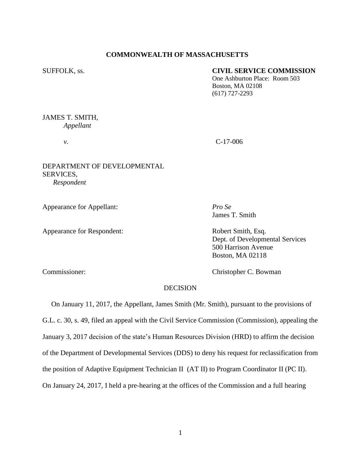# **COMMONWEALTH OF MASSACHUSETTS**

#### SUFFOLK, ss. **CIVIL SERVICE COMMISSION**

One Ashburton Place: Room 503 Boston, MA 02108 (617) 727-2293

# JAMES T. SMITH, *Appellant*

*v.* C-17-006

# DEPARTMENT OF DEVELOPMENTAL SERVICES, *Respondent*

Appearance for Appellant: *Pro Se*

Appearance for Respondent: Robert Smith, Esq.

James T. Smith

Dept. of Developmental Services 500 Harrison Avenue Boston, MA 02118

Commissioner: Christopher C. Bowman

# DECISION

 On January 11, 2017, the Appellant, James Smith (Mr. Smith), pursuant to the provisions of G.L. c. 30, s. 49, filed an appeal with the Civil Service Commission (Commission), appealing the January 3, 2017 decision of the state's Human Resources Division (HRD) to affirm the decision of the Department of Developmental Services (DDS) to deny his request for reclassification from the position of Adaptive Equipment Technician II (AT II) to Program Coordinator II (PC II). On January 24, 2017, I held a pre-hearing at the offices of the Commission and a full hearing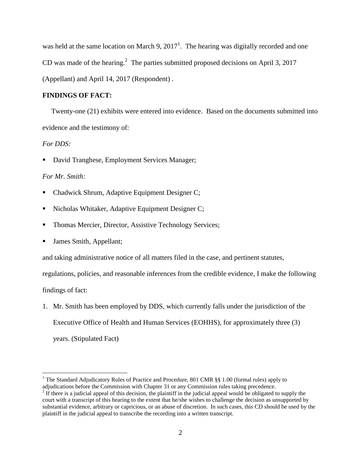was held at the same location on March 9,  $2017<sup>1</sup>$ . The hearing was digitally recorded and one CD was made of the hearing.<sup>2</sup> The parties submitted proposed decisions on April 3, 2017 (Appellant) and April 14, 2017 (Respondent) .

### **FINDINGS OF FACT:**

 Twenty-one (21) exhibits were entered into evidence. Based on the documents submitted into evidence and the testimony of:

# *For DDS:*

 $\overline{a}$ 

David Tranghese, Employment Services Manager;

### *For Mr. Smith:*

- Chadwick Shrum, Adaptive Equipment Designer C;
- Nicholas Whitaker, Adaptive Equipment Designer C;
- Thomas Mercier, Director, Assistive Technology Services;
- **James Smith, Appellant;**

and taking administrative notice of all matters filed in the case, and pertinent statutes,

regulations, policies, and reasonable inferences from the credible evidence, I make the following findings of fact:

1. Mr. Smith has been employed by DDS, which currently falls under the jurisdiction of the Executive Office of Health and Human Services (EOHHS), for approximately three (3) years. (Stipulated Fact)

<sup>&</sup>lt;sup>1</sup> The Standard Adjudicatory Rules of Practice and Procedure, 801 CMR §§ 1.00 (formal rules) apply to adjudications before the Commission with Chapter 31 or any Commission rules taking precedence.

 $2<sup>2</sup>$  If there is a judicial appeal of this decision, the plaintiff in the judicial appeal would be obligated to supply the court with a transcript of this hearing to the extent that he/she wishes to challenge the decision as unsupported by substantial evidence, arbitrary or capricious, or an abuse of discretion. In such cases, this CD should be used by the plaintiff in the judicial appeal to transcribe the recording into a written transcript.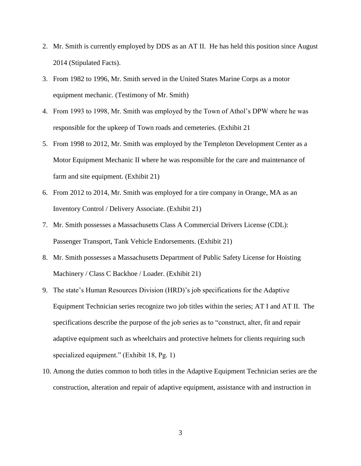- 2. Mr. Smith is currently employed by DDS as an AT II. He has held this position since August 2014 (Stipulated Facts).
- 3. From 1982 to 1996, Mr. Smith served in the United States Marine Corps as a motor equipment mechanic. (Testimony of Mr. Smith)
- 4. From 1993 to 1998, Mr. Smith was employed by the Town of Athol's DPW where he was responsible for the upkeep of Town roads and cemeteries. (Exhibit 21
- 5. From 1998 to 2012, Mr. Smith was employed by the Templeton Development Center as a Motor Equipment Mechanic II where he was responsible for the care and maintenance of farm and site equipment. (Exhibit 21)
- 6. From 2012 to 2014, Mr. Smith was employed for a tire company in Orange, MA as an Inventory Control / Delivery Associate. (Exhibit 21)
- 7. Mr. Smith possesses a Massachusetts Class A Commercial Drivers License (CDL): Passenger Transport, Tank Vehicle Endorsements. (Exhibit 21)
- 8. Mr. Smith possesses a Massachusetts Department of Public Safety License for Hoisting Machinery / Class C Backhoe / Loader. (Exhibit 21)
- 9. The state's Human Resources Division (HRD)'s job specifications for the Adaptive Equipment Technician series recognize two job titles within the series; AT I and AT II. The specifications describe the purpose of the job series as to "construct, alter, fit and repair adaptive equipment such as wheelchairs and protective helmets for clients requiring such specialized equipment." (Exhibit 18, Pg. 1)
- 10. Among the duties common to both titles in the Adaptive Equipment Technician series are the construction, alteration and repair of adaptive equipment, assistance with and instruction in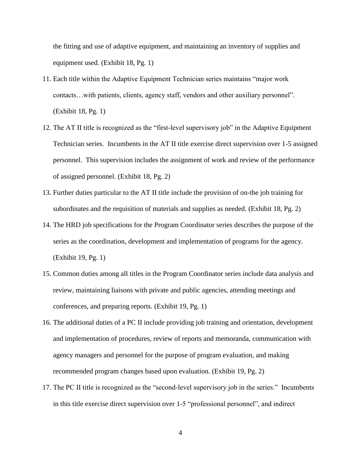the fitting and use of adaptive equipment, and maintaining an inventory of supplies and equipment used. (Exhibit 18, Pg. 1)

- 11. Each title within the Adaptive Equipment Technician series maintains "major work contacts…with patients, clients, agency staff, vendors and other auxiliary personnel". (Exhibit 18, Pg. 1)
- 12. The AT II title is recognized as the "first-level supervisory job" in the Adaptive Equipment Technician series. Incumbents in the AT II title exercise direct supervision over 1-5 assigned personnel. This supervision includes the assignment of work and review of the performance of assigned personnel. (Exhibit 18, Pg. 2)
- 13. Further duties particular to the AT II title include the provision of on-the job training for subordinates and the requisition of materials and supplies as needed. (Exhibit 18, Pg. 2)
- 14. The HRD job specifications for the Program Coordinator series describes the purpose of the series as the coordination, development and implementation of programs for the agency. (Exhibit 19, Pg. 1)
- 15. Common duties among all titles in the Program Coordinator series include data analysis and review, maintaining liaisons with private and public agencies, attending meetings and conferences, and preparing reports. (Exhibit 19, Pg. 1)
- 16. The additional duties of a PC II include providing job training and orientation, development and implementation of procedures, review of reports and memoranda, communication with agency managers and personnel for the purpose of program evaluation, and making recommended program changes based upon evaluation. (Exhibit 19, Pg. 2)
- 17. The PC II title is recognized as the "second-level supervisory job in the series." Incumbents in this title exercise direct supervision over 1-5 "professional personnel", and indirect

4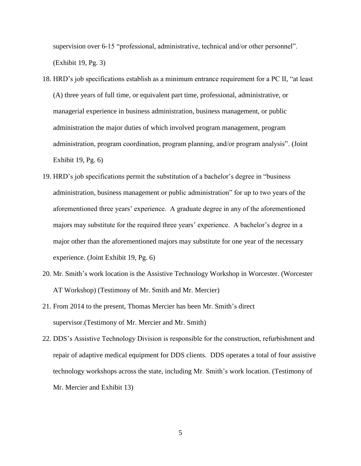supervision over 6-15 "professional, administrative, technical and/or other personnel". (Exhibit 19, Pg. 3)

- 18. HRD's job specifications establish as a minimum entrance requirement for a PC II, "at least (A) three years of full time, or equivalent part time, professional, administrative, or managerial experience in business administration, business management, or public administration the major duties of which involved program management, program administration, program coordination, program planning, and/or program analysis". (Joint Exhibit 19, Pg. 6)
- 19. HRD's job specifications permit the substitution of a bachelor's degree in "business administration, business management or public administration" for up to two years of the aforementioned three years' experience. A graduate degree in any of the aforementioned majors may substitute for the required three years' experience. A bachelor's degree in a major other than the aforementioned majors may substitute for one year of the necessary experience. (Joint Exhibit 19, Pg. 6)
- 20. Mr. Smith's work location is the Assistive Technology Workshop in Worcester. (Worcester AT Workshop) (Testimony of Mr. Smith and Mr. Mercier)
- 21. From 2014 to the present, Thomas Mercier has been Mr. Smith's direct supervisor.(Testimony of Mr. Mercier and Mr. Smith)
- 22. DDS's Assistive Technology Division is responsible for the construction, refurbishment and repair of adaptive medical equipment for DDS clients. DDS operates a total of four assistive technology workshops across the state, including Mr. Smith's work location. (Testimony of Mr. Mercier and Exhibit 13)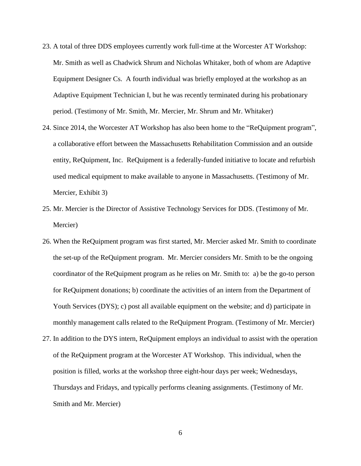- 23. A total of three DDS employees currently work full-time at the Worcester AT Workshop: Mr. Smith as well as Chadwick Shrum and Nicholas Whitaker, both of whom are Adaptive Equipment Designer Cs. A fourth individual was briefly employed at the workshop as an Adaptive Equipment Technician I, but he was recently terminated during his probationary period. (Testimony of Mr. Smith, Mr. Mercier, Mr. Shrum and Mr. Whitaker)
- 24. Since 2014, the Worcester AT Workshop has also been home to the "ReQuipment program", a collaborative effort between the Massachusetts Rehabilitation Commission and an outside entity, ReQuipment, Inc. ReQuipment is a federally-funded initiative to locate and refurbish used medical equipment to make available to anyone in Massachusetts. (Testimony of Mr. Mercier, Exhibit 3)
- 25. Mr. Mercier is the Director of Assistive Technology Services for DDS. (Testimony of Mr. Mercier)
- 26. When the ReQuipment program was first started, Mr. Mercier asked Mr. Smith to coordinate the set-up of the ReQuipment program. Mr. Mercier considers Mr. Smith to be the ongoing coordinator of the ReQuipment program as he relies on Mr. Smith to: a) be the go-to person for ReQuipment donations; b) coordinate the activities of an intern from the Department of Youth Services (DYS); c) post all available equipment on the website; and d) participate in monthly management calls related to the ReQuipment Program. (Testimony of Mr. Mercier)
- 27. In addition to the DYS intern, ReQuipment employs an individual to assist with the operation of the ReQuipment program at the Worcester AT Workshop. This individual, when the position is filled, works at the workshop three eight-hour days per week; Wednesdays, Thursdays and Fridays, and typically performs cleaning assignments. (Testimony of Mr. Smith and Mr. Mercier)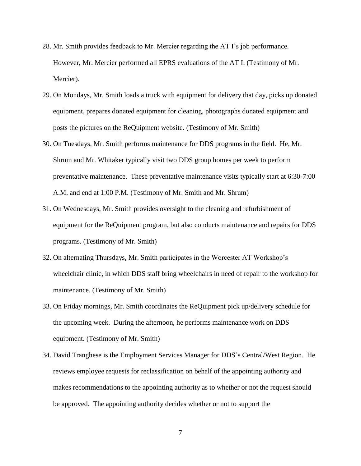- 28. Mr. Smith provides feedback to Mr. Mercier regarding the AT I's job performance. However, Mr. Mercier performed all EPRS evaluations of the AT I. (Testimony of Mr. Mercier).
- 29. On Mondays, Mr. Smith loads a truck with equipment for delivery that day, picks up donated equipment, prepares donated equipment for cleaning, photographs donated equipment and posts the pictures on the ReQuipment website. (Testimony of Mr. Smith)
- 30. On Tuesdays, Mr. Smith performs maintenance for DDS programs in the field. He, Mr. Shrum and Mr. Whitaker typically visit two DDS group homes per week to perform preventative maintenance. These preventative maintenance visits typically start at 6:30-7:00 A.M. and end at 1:00 P.M. (Testimony of Mr. Smith and Mr. Shrum)
- 31. On Wednesdays, Mr. Smith provides oversight to the cleaning and refurbishment of equipment for the ReQuipment program, but also conducts maintenance and repairs for DDS programs. (Testimony of Mr. Smith)
- 32. On alternating Thursdays, Mr. Smith participates in the Worcester AT Workshop's wheelchair clinic, in which DDS staff bring wheelchairs in need of repair to the workshop for maintenance. (Testimony of Mr. Smith)
- 33. On Friday mornings, Mr. Smith coordinates the ReQuipment pick up/delivery schedule for the upcoming week. During the afternoon, he performs maintenance work on DDS equipment. (Testimony of Mr. Smith)
- 34. David Tranghese is the Employment Services Manager for DDS's Central/West Region. He reviews employee requests for reclassification on behalf of the appointing authority and makes recommendations to the appointing authority as to whether or not the request should be approved. The appointing authority decides whether or not to support the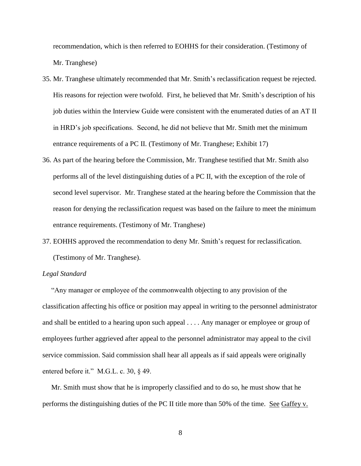recommendation, which is then referred to EOHHS for their consideration. (Testimony of Mr. Tranghese)

- 35. Mr. Tranghese ultimately recommended that Mr. Smith's reclassification request be rejected. His reasons for rejection were twofold. First, he believed that Mr. Smith's description of his job duties within the Interview Guide were consistent with the enumerated duties of an AT II in HRD's job specifications. Second, he did not believe that Mr. Smith met the minimum entrance requirements of a PC II. (Testimony of Mr. Tranghese; Exhibit 17)
- 36. As part of the hearing before the Commission, Mr. Tranghese testified that Mr. Smith also performs all of the level distinguishing duties of a PC II, with the exception of the role of second level supervisor. Mr. Tranghese stated at the hearing before the Commission that the reason for denying the reclassification request was based on the failure to meet the minimum entrance requirements. (Testimony of Mr. Tranghese)
- 37. EOHHS approved the recommendation to deny Mr. Smith's request for reclassification. (Testimony of Mr. Tranghese).

#### *Legal Standard*

"Any manager or employee of the commonwealth objecting to any provision of the classification affecting his office or position may appeal in writing to the personnel administrator and shall be entitled to a hearing upon such appeal . . . . Any manager or employee or group of employees further aggrieved after appeal to the personnel administrator may appeal to the civil service commission. Said commission shall hear all appeals as if said appeals were originally entered before it." M.G.L. c. 30, § 49.

 Mr. Smith must show that he is improperly classified and to do so, he must show that he performs the distinguishing duties of the PC II title more than 50% of the time. See Gaffey v.

8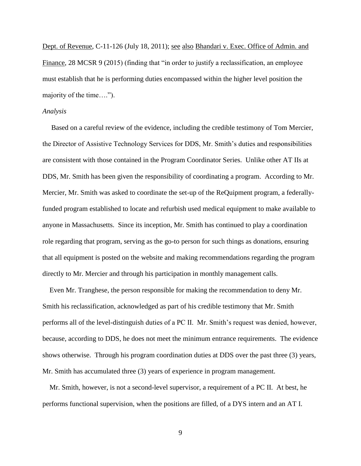Dept. of Revenue, C-11-126 (July 18, 2011); see also Bhandari v. Exec. Office of Admin. and Finance, 28 MCSR 9 (2015) (finding that "in order to justify a reclassification, an employee must establish that he is performing duties encompassed within the higher level position the majority of the time….").

#### *Analysis*

 Based on a careful review of the evidence, including the credible testimony of Tom Mercier, the Director of Assistive Technology Services for DDS, Mr. Smith's duties and responsibilities are consistent with those contained in the Program Coordinator Series. Unlike other AT IIs at DDS, Mr. Smith has been given the responsibility of coordinating a program. According to Mr. Mercier, Mr. Smith was asked to coordinate the set-up of the ReQuipment program, a federallyfunded program established to locate and refurbish used medical equipment to make available to anyone in Massachusetts. Since its inception, Mr. Smith has continued to play a coordination role regarding that program, serving as the go-to person for such things as donations, ensuring that all equipment is posted on the website and making recommendations regarding the program directly to Mr. Mercier and through his participation in monthly management calls.

 Even Mr. Tranghese, the person responsible for making the recommendation to deny Mr. Smith his reclassification, acknowledged as part of his credible testimony that Mr. Smith performs all of the level-distinguish duties of a PC II. Mr. Smith's request was denied, however, because, according to DDS, he does not meet the minimum entrance requirements. The evidence shows otherwise. Through his program coordination duties at DDS over the past three (3) years, Mr. Smith has accumulated three (3) years of experience in program management.

 Mr. Smith, however, is not a second-level supervisor, a requirement of a PC II. At best, he performs functional supervision, when the positions are filled, of a DYS intern and an AT I.

9